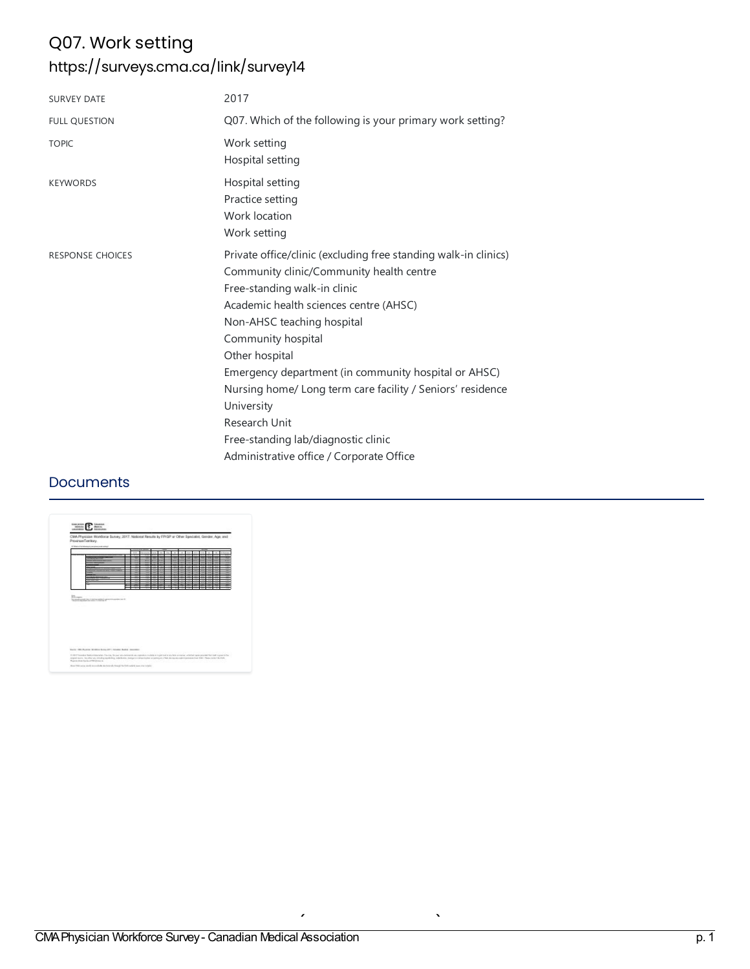# Q07. Work setting <https://surveys.cma.ca/link/survey14>

| Q07. Which of the following is your primary work setting?<br>Work setting<br>Hospital setting                                                                                                                                                                                                                                                                                                                                                                                                       |
|-----------------------------------------------------------------------------------------------------------------------------------------------------------------------------------------------------------------------------------------------------------------------------------------------------------------------------------------------------------------------------------------------------------------------------------------------------------------------------------------------------|
|                                                                                                                                                                                                                                                                                                                                                                                                                                                                                                     |
|                                                                                                                                                                                                                                                                                                                                                                                                                                                                                                     |
| Hospital setting<br>Practice setting<br>Work location<br>Work setting                                                                                                                                                                                                                                                                                                                                                                                                                               |
| Private office/clinic (excluding free standing walk-in clinics)<br>Community clinic/Community health centre<br>Free-standing walk-in clinic<br>Academic health sciences centre (AHSC)<br>Non-AHSC teaching hospital<br>Community hospital<br>Other hospital<br>Emergency department (in community hospital or AHSC)<br>Nursing home/ Long term care facility / Seniors' residence<br>University<br>Research Unit<br>Free-standing lab/diagnostic clinic<br>Administrative office / Corporate Office |
|                                                                                                                                                                                                                                                                                                                                                                                                                                                                                                     |

### **Documents**

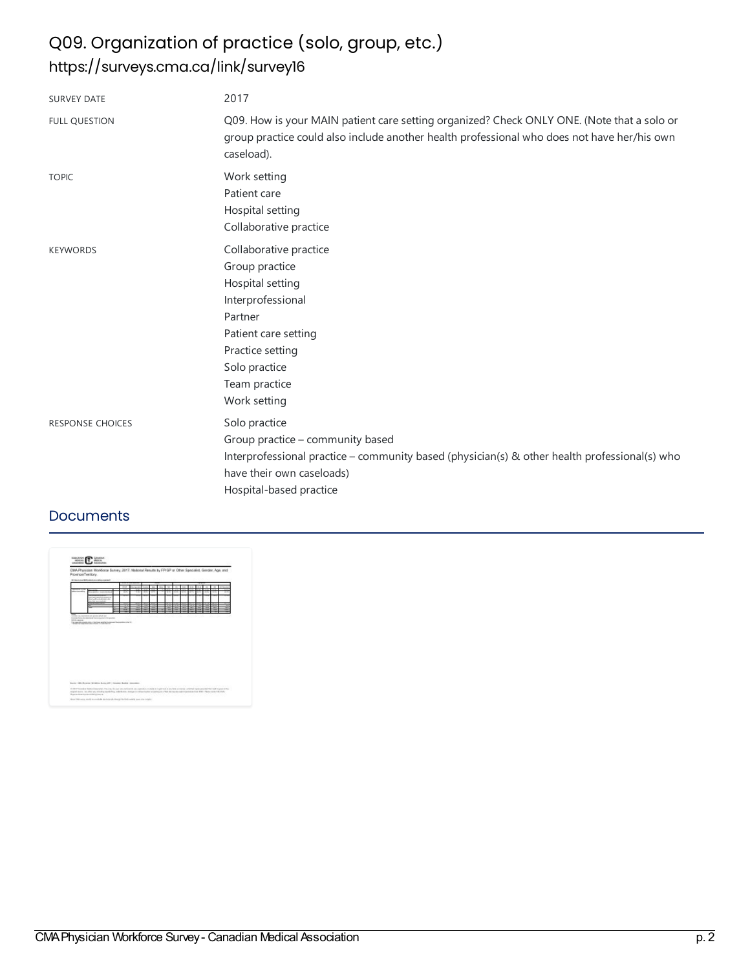# Q09. Organization of practice (solo, group, etc.) <https://surveys.cma.ca/link/survey16>

| <b>SURVEY DATE</b>      | 2017                                                                                                                                                                                                       |
|-------------------------|------------------------------------------------------------------------------------------------------------------------------------------------------------------------------------------------------------|
| <b>FULL QUESTION</b>    | Q09. How is your MAIN patient care setting organized? Check ONLY ONE. (Note that a solo or<br>group practice could also include another health professional who does not have her/his own<br>caseload).    |
| <b>TOPIC</b>            | Work setting<br>Patient care<br>Hospital setting<br>Collaborative practice                                                                                                                                 |
| <b>KEYWORDS</b>         | Collaborative practice<br>Group practice<br>Hospital setting<br>Interprofessional<br>Partner<br>Patient care setting<br>Practice setting<br>Solo practice<br>Team practice<br>Work setting                 |
| <b>RESPONSE CHOICES</b> | Solo practice<br>Group practice – community based<br>Interprofessional practice – community based (physician(s) & other health professional(s) who<br>have their own caseloads)<br>Hospital-based practice |

### **Documents**